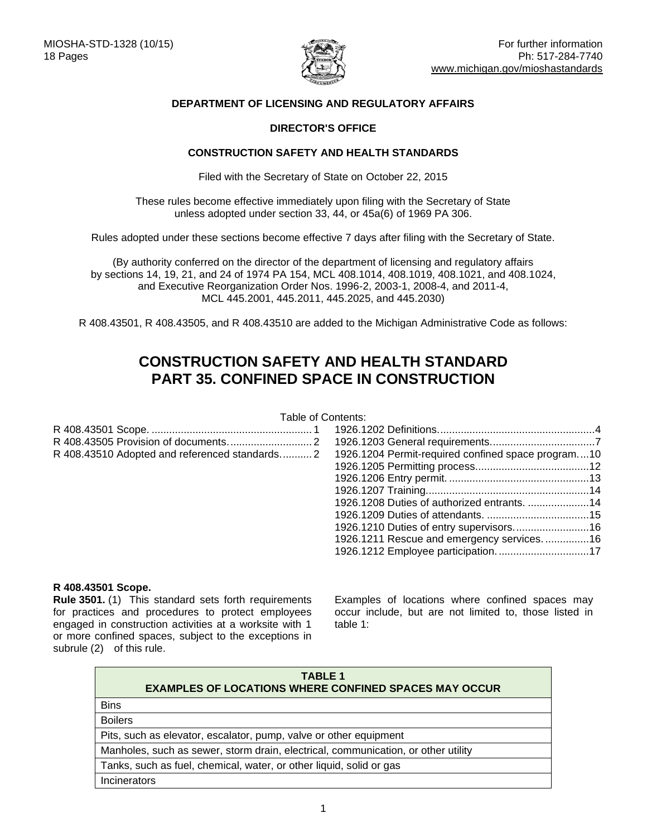

### **DEPARTMENT OF LICENSING AND REGULATORY AFFAIRS**

### **DIRECTOR'S OFFICE**

### **CONSTRUCTION SAFETY AND HEALTH STANDARDS**

Filed with the Secretary of State on October 22, 2015

These rules become effective immediately upon filing with the Secretary of State unless adopted under section 33, 44, or 45a(6) of 1969 PA 306.

Rules adopted under these sections become effective 7 days after filing with the Secretary of State.

(By authority conferred on the director of the department of licensing and regulatory affairs by sections 14, 19, 21, and 24 of 1974 PA 154, MCL 408.1014, 408.1019, 408.1021, and 408.1024, and Executive Reorganization Order Nos. 1996-2, 2003-1, 2008-4, and 2011-4, MCL 445.2001, 445.2011, 445.2025, and 445.2030)

R 408.43501, R 408.43505, and R 408.43510 are added to the Michigan Administrative Code as follows:

# **CONSTRUCTION SAFETY AND HEALTH STANDARD PART 35. CONFINED SPACE IN CONSTRUCTION**

#### Table of Contents:

| R 408.43510 Adopted and referenced standards 2 1926.1204 Permit-required confined space program10 |                                             |  |
|---------------------------------------------------------------------------------------------------|---------------------------------------------|--|
|                                                                                                   |                                             |  |
|                                                                                                   |                                             |  |
|                                                                                                   |                                             |  |
|                                                                                                   | 1926.1208 Duties of authorized entrants. 14 |  |
|                                                                                                   |                                             |  |
|                                                                                                   | 1926.1210 Duties of entry supervisors16     |  |
|                                                                                                   | 1926.1211 Rescue and emergency services. 16 |  |
|                                                                                                   |                                             |  |
|                                                                                                   |                                             |  |

#### <span id="page-0-0"></span>**R 408.43501 Scope.**

**Rule 3501.** (1) This standard sets forth requirements for practices and procedures to protect employees engaged in construction activities at a worksite with 1 or more confined spaces, subject to the exceptions in subrule (2) of this rule.

Examples of locations where confined spaces may occur include, but are not limited to, those listed in table 1:

| <b>TABLE 1</b><br><b>EXAMPLES OF LOCATIONS WHERE CONFINED SPACES MAY OCCUR</b>    |
|-----------------------------------------------------------------------------------|
| <b>Bins</b>                                                                       |
| <b>Boilers</b>                                                                    |
| Pits, such as elevator, escalator, pump, valve or other equipment                 |
| Manholes, such as sewer, storm drain, electrical, communication, or other utility |
| Tanks, such as fuel, chemical, water, or other liquid, solid or gas               |
| Incinerators                                                                      |
|                                                                                   |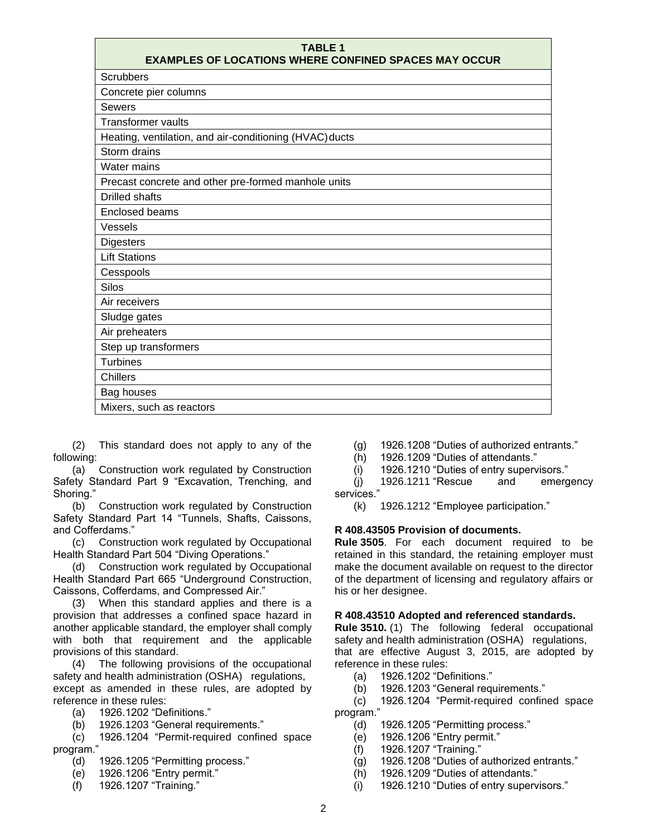# **TABLE 1**<br>TABLE 1

| <b>Scrubbers</b><br>Concrete pier columns<br><b>Sewers</b><br><b>Transformer vaults</b><br>Heating, ventilation, and air-conditioning (HVAC) ducts<br>Storm drains<br><b>Water mains</b><br>Precast concrete and other pre-formed manhole units<br><b>Drilled shafts</b><br><b>Enclosed beams</b><br>Vessels<br><b>Digesters</b><br><b>Lift Stations</b><br>Cesspools<br><b>Silos</b><br>Air receivers<br>Sludge gates<br>Air preheaters<br>Step up transformers<br><b>Turbines</b><br>Chillers<br>Bag houses<br>Mixers, such as reactors | <b>EXAMPLES OF LOCATIONS WHERE CONFINED SPACES MAY OCCUR</b> |
|-------------------------------------------------------------------------------------------------------------------------------------------------------------------------------------------------------------------------------------------------------------------------------------------------------------------------------------------------------------------------------------------------------------------------------------------------------------------------------------------------------------------------------------------|--------------------------------------------------------------|
|                                                                                                                                                                                                                                                                                                                                                                                                                                                                                                                                           |                                                              |
|                                                                                                                                                                                                                                                                                                                                                                                                                                                                                                                                           |                                                              |
|                                                                                                                                                                                                                                                                                                                                                                                                                                                                                                                                           |                                                              |
|                                                                                                                                                                                                                                                                                                                                                                                                                                                                                                                                           |                                                              |
|                                                                                                                                                                                                                                                                                                                                                                                                                                                                                                                                           |                                                              |
|                                                                                                                                                                                                                                                                                                                                                                                                                                                                                                                                           |                                                              |
|                                                                                                                                                                                                                                                                                                                                                                                                                                                                                                                                           |                                                              |
|                                                                                                                                                                                                                                                                                                                                                                                                                                                                                                                                           |                                                              |
|                                                                                                                                                                                                                                                                                                                                                                                                                                                                                                                                           |                                                              |
|                                                                                                                                                                                                                                                                                                                                                                                                                                                                                                                                           |                                                              |
|                                                                                                                                                                                                                                                                                                                                                                                                                                                                                                                                           |                                                              |
|                                                                                                                                                                                                                                                                                                                                                                                                                                                                                                                                           |                                                              |
|                                                                                                                                                                                                                                                                                                                                                                                                                                                                                                                                           |                                                              |
|                                                                                                                                                                                                                                                                                                                                                                                                                                                                                                                                           |                                                              |
|                                                                                                                                                                                                                                                                                                                                                                                                                                                                                                                                           |                                                              |
|                                                                                                                                                                                                                                                                                                                                                                                                                                                                                                                                           |                                                              |
|                                                                                                                                                                                                                                                                                                                                                                                                                                                                                                                                           |                                                              |
|                                                                                                                                                                                                                                                                                                                                                                                                                                                                                                                                           |                                                              |
|                                                                                                                                                                                                                                                                                                                                                                                                                                                                                                                                           |                                                              |
|                                                                                                                                                                                                                                                                                                                                                                                                                                                                                                                                           |                                                              |
|                                                                                                                                                                                                                                                                                                                                                                                                                                                                                                                                           |                                                              |
|                                                                                                                                                                                                                                                                                                                                                                                                                                                                                                                                           |                                                              |
|                                                                                                                                                                                                                                                                                                                                                                                                                                                                                                                                           |                                                              |

(2) This standard does not apply to any of the following:

(a) Construction work regulated by Construction Safety Standard Part 9 "Excavation, Trenching, and Shoring."

(b) Construction work regulated by Construction Safety Standard Part 14 "Tunnels, Shafts, Caissons, and Cofferdams."

(c) Construction work regulated by Occupational Health Standard Part 504 "Diving Operations."

(d) Construction work regulated by Occupational Health Standard Part 665 "Underground Construction, Caissons, Cofferdams, and Compressed Air."

(3) When this standard applies and there is a provision that addresses a confined space hazard in another applicable standard, the employer shall comply with both that requirement and the applicable provisions of this standard.

(4) The following provisions of the occupational safety and health administration (OSHA) regulations, except as amended in these rules, are adopted by reference in these rules:

(a) [1926.1202 "Definitions.](https://www.federalregister.gov/articles/2015/05/04/2015-08843/confined-spaces-in-construction#sec-1926-1202)"

(b) [1926.1203 "General requirements."](https://www.federalregister.gov/articles/2015/05/04/2015-08843/confined-spaces-in-construction#sec-1926-1203)

(c) [1926.1204 "Permit-required confined space](https://www.federalregister.gov/articles/2015/05/04/2015-08843/confined-spaces-in-construction#sec-1926-1204)  [program."](https://www.federalregister.gov/articles/2015/05/04/2015-08843/confined-spaces-in-construction#sec-1926-1204)

- (d) [1926.1205 "Permitting process."](https://www.federalregister.gov/articles/2015/05/04/2015-08843/confined-spaces-in-construction#sec-1926-1205)
- (e) [1926.1206 "Entry permit."](https://www.federalregister.gov/articles/2015/05/04/2015-08843/confined-spaces-in-construction#sec-1926-1206)
- (f) 1926.1207 "Training."
- (g) [1926.1208 "Duties of authorized entrants."](https://www.federalregister.gov/articles/2015/05/04/2015-08843/confined-spaces-in-construction#sec-1926-1208)
- (h) [1926.1209 "Duties of](https://www.federalregister.gov/articles/2015/05/04/2015-08843/confined-spaces-in-construction#sec-1926-1209) attendants."

(i) [1926.1210 "Duties of entry supervisors."](https://www.federalregister.gov/articles/2015/05/04/2015-08843/confined-spaces-in-construction#sec-1926-1210)

(j) 1926.1211 ["Rescue and emergency](https://www.federalregister.gov/articles/2015/05/04/2015-08843/confined-spaces-in-construction#sec-1926-1211)  [services."](https://www.federalregister.gov/articles/2015/05/04/2015-08843/confined-spaces-in-construction#sec-1926-1211)

(k) [1926.1212 "Employee participation."](https://www.federalregister.gov/articles/2015/05/04/2015-08843/confined-spaces-in-construction#sec-1926-1212)

#### <span id="page-1-0"></span>**R 408.43505 Provision of documents.**

**Rule 3505**. For each document required to be retained in this standard, the retaining employer must make the document available on request to the director of the department of licensing and regulatory affairs or his or her designee.

#### <span id="page-1-1"></span>**R 408.43510 Adopted and referenced standards.**

**Rule 3510.** (1) The following federal occupational safety and health administration (OSHA) regulations, that are effective August 3, 2015, are adopted by reference in these rules:

- (a) [1926.1202 "Definitions.](https://www.federalregister.gov/articles/2015/05/04/2015-08843/confined-spaces-in-construction#sec-1926-1202)"
- (b) [1926.1203 "General requirements."](https://www.federalregister.gov/articles/2015/05/04/2015-08843/confined-spaces-in-construction#sec-1926-1203)

(c) [1926.1204 "Permit-required confined space](https://www.federalregister.gov/articles/2015/05/04/2015-08843/confined-spaces-in-construction#sec-1926-1204)  [program."](https://www.federalregister.gov/articles/2015/05/04/2015-08843/confined-spaces-in-construction#sec-1926-1204)

- (d) [1926.1205 "Permitting process."](https://www.federalregister.gov/articles/2015/05/04/2015-08843/confined-spaces-in-construction#sec-1926-1205)
- (e) [1926.1206 "Entry permit."](https://www.federalregister.gov/articles/2015/05/04/2015-08843/confined-spaces-in-construction#sec-1926-1206)
- (f) [1926.1207 "Training."](https://www.federalregister.gov/articles/2015/05/04/2015-08843/confined-spaces-in-construction#sec-1926-1207)
- (g) [1926.1208 "Duties of authorized entrants."](https://www.federalregister.gov/articles/2015/05/04/2015-08843/confined-spaces-in-construction#sec-1926-1208)
- (h) [1926.1209 "Duties of attendants."](https://www.federalregister.gov/articles/2015/05/04/2015-08843/confined-spaces-in-construction#sec-1926-1209)
- (i) [1926.1210 "Duties of entry supervisors."](https://www.federalregister.gov/articles/2015/05/04/2015-08843/confined-spaces-in-construction#sec-1926-1210)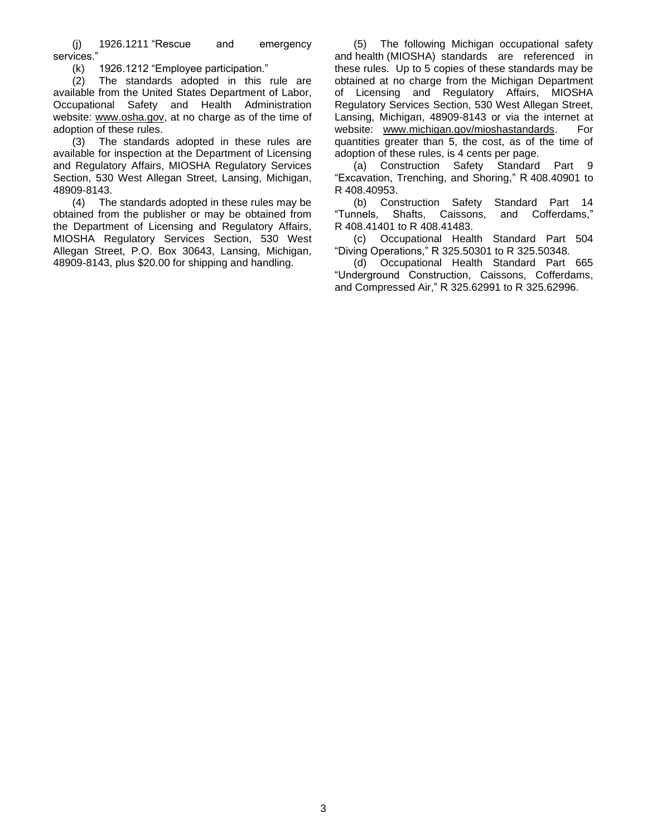(j) 1926.1211 ["Rescue and emergency](https://www.federalregister.gov/articles/2015/05/04/2015-08843/confined-spaces-in-construction#sec-1926-1211)  [services."](https://www.federalregister.gov/articles/2015/05/04/2015-08843/confined-spaces-in-construction#sec-1926-1211)

(k) [1926.1212 "Employee participation."](https://www.federalregister.gov/articles/2015/05/04/2015-08843/confined-spaces-in-construction#sec-1926-1212)

(2) The standards adopted in this rule are available from the United States Department of Labor, Occupational Safety and Health Administration website: [www.osha.gov,](http://www.osha.gov/) at no charge as of the time of adoption of these rules.

(3) The standards adopted in these rules are available for inspection at the Department of Licensing and Regulatory Affairs, MIOSHA Regulatory Services Section, 530 West Allegan Street, Lansing, Michigan, 48909-8143.

(4) The standards adopted in these rules may be obtained from the publisher or may be obtained from the Department of Licensing and Regulatory Affairs, MIOSHA Regulatory Services Section, 530 West Allegan Street, P.O. Box 30643, Lansing, Michigan, 48909-8143, plus \$20.00 for shipping and handling.

(5) The following Michigan occupational safety and health (MIOSHA) standards are referenced in these rules. Up to 5 copies of these standards may be obtained at no charge from the Michigan Department of Licensing and Regulatory Affairs, MIOSHA Regulatory Services Section, 530 West Allegan Street, Lansing, Michigan, 48909-8143 or via the internet at website: [www.michigan.gov/mioshastandards.](http://www.michigan.gov/mioshastandards) For quantities greater than 5, the cost, as of the time of adoption of these rules, is 4 cents per page.

(a) Construction Safety Standard Part 9 "Excavation, Trenching, and Shoring," R 408.40901 to R 408.40953.

(b) Construction Safety Standard Part 14<br>"Tunnels. Shafts, Caissons, and Cofferdams," Shafts, Caissons, and Cofferdams," R 408.41401 to R 408.41483.

(c) Occupational Health Standard Part 504 "Diving Operations," R 325.50301 to R 325.50348.

(d) Occupational Health Standard Part 665 "Underground Construction, Caissons, Cofferdams, and Compressed Air," R 325.62991 to R 325.62996.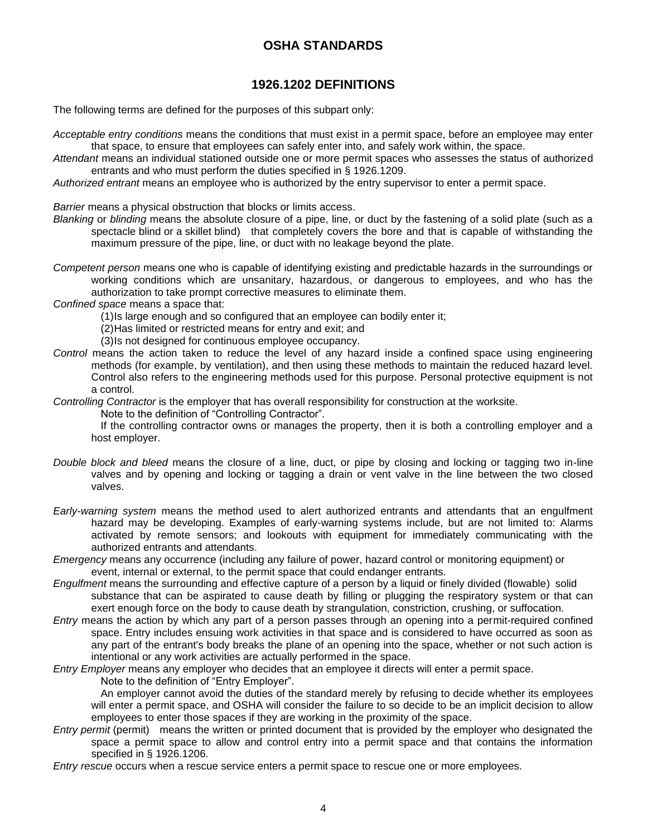## **OSHA STANDARDS**

### **1926.1202 DEFINITIONS**

<span id="page-3-0"></span>The following terms are defined for the purposes of this subpart only:

*Acceptable entry conditions* means the conditions that must exist in a permit space, before an employee may enter that space, to ensure that employees can safely enter into, and safely work within, the space.

*Attendant* means an individual stationed outside one or more permit spaces who assesses the status of authorized entrants and who must perform the duties specified in § 1926.1209.

*Authorized entrant* means an employee who is authorized by the entry supervisor to enter a permit space.

*Barrier* means a physical obstruction that blocks or limits access.

*Blanking* or *blinding* means the absolute closure of a pipe, line, or duct by the fastening of a solid plate (such as a spectacle blind or a skillet blind) that completely covers the bore and that is capable of withstanding the maximum pressure of the pipe, line, or duct with no leakage beyond the plate.

*Competent person* means one who is capable of identifying existing and predictable hazards in the surroundings or working conditions which are unsanitary, hazardous, or dangerous to employees, and who has the authorization to take prompt corrective measures to eliminate them.

*Confined space* means a space that:

(1)Is large enough and so configured that an employee can bodily enter it;

(2)Has limited or restricted means for entry and exit; and

(3)Is not designed for continuous employee occupancy.

*Control* means the action taken to reduce the level of any hazard inside a confined space using engineering methods (for example, by ventilation), and then using these methods to maintain the reduced hazard level. Control also refers to the engineering methods used for this purpose. Personal protective equipment is not a control.

*Controlling Contractor* is the employer that has overall responsibility for construction at the worksite.

Note to the definition of "Controlling Contractor".

If the controlling contractor owns or manages the property, then it is both a controlling employer and a host employer.

- *Double block and bleed* means the closure of a line, duct, or pipe by closing and locking or tagging two in-line valves and by opening and locking or tagging a drain or vent valve in the line between the two closed valves.
- *Early-warning system* means the method used to alert authorized entrants and attendants that an engulfment hazard may be developing. Examples of early-warning systems include, but are not limited to: Alarms activated by remote sensors; and lookouts with equipment for immediately communicating with the authorized entrants and attendants.
- *Emergency* means any occurrence (including any failure of power, hazard control or monitoring equipment) or event, internal or external, to the permit space that could endanger entrants.
- *Engulfment* means the surrounding and effective capture of a person by a liquid or finely divided (flowable) solid substance that can be aspirated to cause death by filling or plugging the respiratory system or that can exert enough force on the body to cause death by strangulation, constriction, crushing, or suffocation.
- *Entry* means the action by which any part of a person passes through an opening into a permit-required confined space. Entry includes ensuing work activities in that space and is considered to have occurred as soon as any part of the entrant's body breaks the plane of an opening into the space, whether or not such action is intentional or any work activities are actually performed in the space.
- *Entry Employer* means any employer who decides that an employee it directs will enter a permit space.

Note to the definition of "Entry Employer".

An employer cannot avoid the duties of the standard merely by refusing to decide whether its employees will enter a permit space, and OSHA will consider the failure to so decide to be an implicit decision to allow employees to enter those spaces if they are working in the proximity of the space.

*Entry permit* (permit) means the written or printed document that is provided by the employer who designated the space a permit space to allow and control entry into a permit space and that contains the information specified in § 1926.1206.

*Entry rescue* occurs when a rescue service enters a permit space to rescue one or more employees.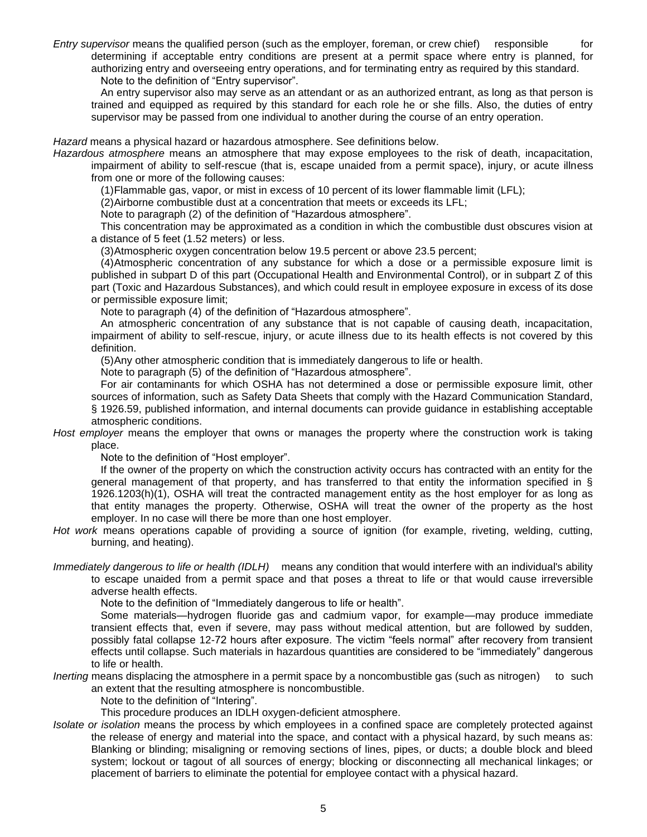*Entry supervisor* means the qualified person (such as the employer, foreman, or crew chief) responsible for determining if acceptable entry conditions are present at a permit space where entry is planned, for authorizing entry and overseeing entry operations, and for terminating entry as required by this standard. Note to the definition of "Entry supervisor".

An entry supervisor also may serve as an attendant or as an authorized entrant, as long as that person is trained and equipped as required by this standard for each role he or she fills. Also, the duties of entry supervisor may be passed from one individual to another during the course of an entry operation.

*Hazard* means a physical hazard or hazardous atmosphere. See definitions below.

*Hazardous atmosphere* means an atmosphere that may expose employees to the risk of death, incapacitation, impairment of ability to self-rescue (that is, escape unaided from a permit space), injury, or acute illness

from one or more of the following causes:

(1)Flammable gas, vapor, or mist in excess of 10 percent of its lower flammable limit (LFL);

(2)Airborne combustible dust at a concentration that meets or exceeds its LFL;

Note to paragraph (2) of the definition of "Hazardous atmosphere".

This concentration may be approximated as a condition in which the combustible dust obscures vision at a distance of 5 feet (1.52 meters) or less.

(3)Atmospheric oxygen concentration below 19.5 percent or above 23.5 percent;

(4)Atmospheric concentration of any substance for which a dose or a permissible exposure limit is published in subpart D of this part (Occupational Health and Environmental Control), or in subpart Z of this part (Toxic and Hazardous Substances), and which could result in employee exposure in excess of its dose or permissible exposure limit;

Note to paragraph (4) of the definition of "Hazardous atmosphere".

An atmospheric concentration of any substance that is not capable of causing death, incapacitation, impairment of ability to self-rescue, injury, or acute illness due to its health effects is not covered by this definition.

(5)Any other atmospheric condition that is immediately dangerous to life or health.

Note to paragraph (5) of the definition of "Hazardous atmosphere".

For air contaminants for which OSHA has not determined a dose or permissible exposure limit, other sources of information, such as Safety Data Sheets that comply with the Hazard Communication Standard, § 1926.59, published information, and internal documents can provide guidance in establishing acceptable atmospheric conditions.

*Host employer* means the employer that owns or manages the property where the construction work is taking place.

Note to the definition of "Host employer".

If the owner of the property on which the construction activity occurs has contracted with an entity for the general management of that property, and has transferred to that entity the information specified in § 1926.1203(h)(1), OSHA will treat the contracted management entity as the host employer for as long as that entity manages the property. Otherwise, OSHA will treat the owner of the property as the host employer. In no case will there be more than one host employer.

- *Hot work* means operations capable of providing a source of ignition (for example, riveting, welding, cutting, burning, and heating).
- *Immediately dangerous to life or health (IDLH)* means any condition that would interfere with an individual's ability to escape unaided from a permit space and that poses a threat to life or that would cause irreversible adverse health effects.

Note to the definition of "Immediately dangerous to life or health".

Some materials—hydrogen fluoride gas and cadmium vapor, for example—may produce immediate transient effects that, even if severe, may pass without medical attention, but are followed by sudden, possibly fatal collapse 12-72 hours after exposure. The victim "feels normal" after recovery from transient effects until collapse. Such materials in hazardous quantities are considered to be "immediately" dangerous to life or health.

#### *Inerting* means displacing the atmosphere in a permit space by a noncombustible gas (such as nitrogen) to such an extent that the resulting atmosphere is noncombustible.

Note to the definition of "Intering".

This procedure produces an IDLH oxygen-deficient atmosphere.

*Isolate or isolation* means the process by which employees in a confined space are completely protected against the release of energy and material into the space, and contact with a physical hazard, by such means as: Blanking or blinding; misaligning or removing sections of lines, pipes, or ducts; a double block and bleed system; lockout or tagout of all sources of energy; blocking or disconnecting all mechanical linkages; or placement of barriers to eliminate the potential for employee contact with a physical hazard.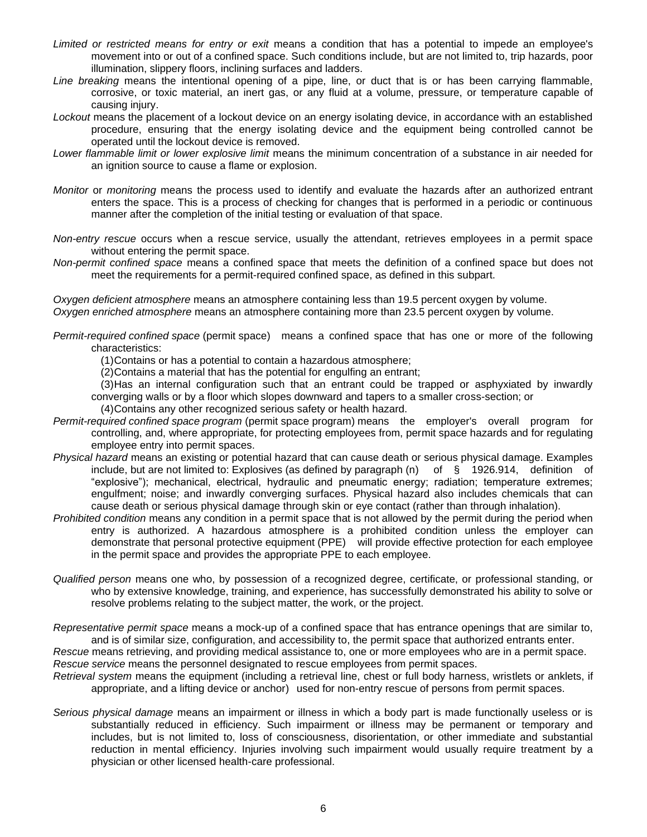- *Limited or restricted means for entry or exit* means a condition that has a potential to impede an employee's movement into or out of a confined space. Such conditions include, but are not limited to, trip hazards, poor illumination, slippery floors, inclining surfaces and ladders.
- *Line breaking* means the intentional opening of a pipe, line, or duct that is or has been carrying flammable, corrosive, or toxic material, an inert gas, or any fluid at a volume, pressure, or temperature capable of causing injury.
- *Lockout* means the placement of a lockout device on an energy isolating device, in accordance with an established procedure, ensuring that the energy isolating device and the equipment being controlled cannot be operated until the lockout device is removed.
- *Lower flammable limit or lower explosive limit* means the minimum concentration of a substance in air needed for an ignition source to cause a flame or explosion.
- *Monitor* or *monitoring* means the process used to identify and evaluate the hazards after an authorized entrant enters the space. This is a process of checking for changes that is performed in a periodic or continuous manner after the completion of the initial testing or evaluation of that space.
- *Non-entry rescue* occurs when a rescue service, usually the attendant, retrieves employees in a permit space without entering the permit space.
- *Non-permit confined space* means a confined space that meets the definition of a confined space but does not meet the requirements for a permit-required confined space, as defined in this subpart.

*Oxygen deficient atmosphere* means an atmosphere containing less than 19.5 percent oxygen by volume. *Oxygen enriched atmosphere* means an atmosphere containing more than 23.5 percent oxygen by volume.

- *Permit-required confined space* (permit space) means a confined space that has one or more of the following characteristics:
	- (1)Contains or has a potential to contain a hazardous atmosphere;
	- (2)Contains a material that has the potential for engulfing an entrant;
	- (3)Has an internal configuration such that an entrant could be trapped or asphyxiated by inwardly converging walls or by a floor which slopes downward and tapers to a smaller cross-section; or
		- (4)Contains any other recognized serious safety or health hazard.
- *Permit-required confined space program* (permit space program) means the employer's overall program for controlling, and, where appropriate, for protecting employees from, permit space hazards and for regulating employee entry into permit spaces.
- *Physical hazard* means an existing or potential hazard that can cause death or serious physical damage. Examples include, but are not limited to: Explosives (as defined by paragraph (n) of § 1926.914, definition of "explosive"); mechanical, electrical, hydraulic and pneumatic energy; radiation; temperature extremes; engulfment; noise; and inwardly converging surfaces. Physical hazard also includes chemicals that can cause death or serious physical damage through skin or eye contact (rather than through inhalation).
- *Prohibited condition* means any condition in a permit space that is not allowed by the permit during the period when entry is authorized. A hazardous atmosphere is a prohibited condition unless the employer can demonstrate that personal protective equipment (PPE) will provide effective protection for each employee in the permit space and provides the appropriate PPE to each employee.
- *Qualified person* means one who, by possession of a recognized degree, certificate, or professional standing, or who by extensive knowledge, training, and experience, has successfully demonstrated his ability to solve or resolve problems relating to the subject matter, the work, or the project.
- *Representative permit space* means a mock-up of a confined space that has entrance openings that are similar to, and is of similar size, configuration, and accessibility to, the permit space that authorized entrants enter.

*Rescue* means retrieving, and providing medical assistance to, one or more employees who are in a permit space. *Rescue service* means the personnel designated to rescue employees from permit spaces.

- *Retrieval system* means the equipment (including a retrieval line, chest or full body harness, wristlets or anklets, if appropriate, and a lifting device or anchor) used for non-entry rescue of persons from permit spaces.
- *Serious physical damage* means an impairment or illness in which a body part is made functionally useless or is substantially reduced in efficiency. Such impairment or illness may be permanent or temporary and includes, but is not limited to, loss of consciousness, disorientation, or other immediate and substantial reduction in mental efficiency. Injuries involving such impairment would usually require treatment by a physician or other licensed health-care professional.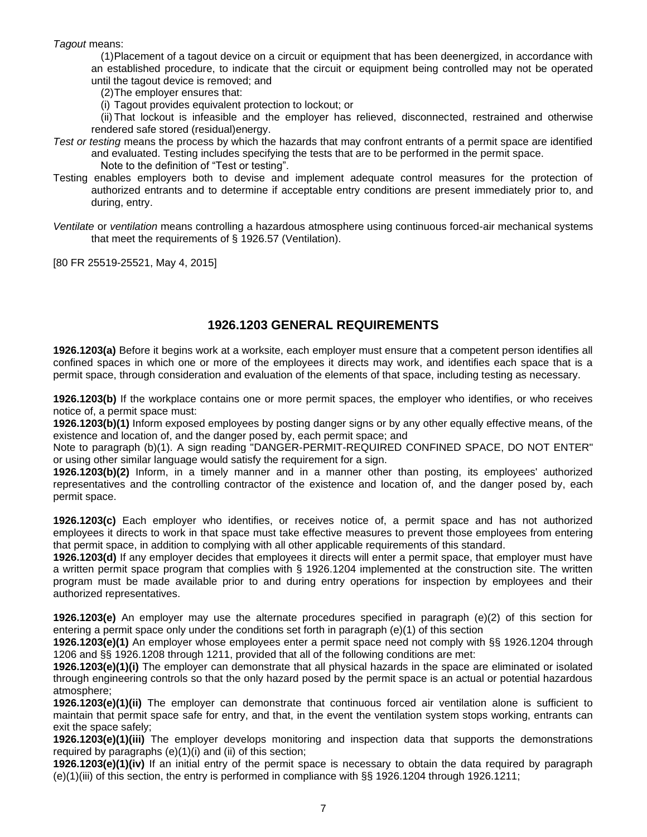### *Tagout* means:

(1)Placement of a tagout device on a circuit or equipment that has been deenergized, in accordance with an established procedure, to indicate that the circuit or equipment being controlled may not be operated until the tagout device is removed; and

(2)The employer ensures that:

(i) Tagout provides equivalent protection to lockout; or

(ii) That lockout is infeasible and the employer has relieved, disconnected, restrained and otherwise rendered safe stored (residual)energy.

- *Test or testing* means the process by which the hazards that may confront entrants of a permit space are identified and evaluated. Testing includes specifying the tests that are to be performed in the permit space. Note to the definition of "Test or testing".
- Testing enables employers both to devise and implement adequate control measures for the protection of authorized entrants and to determine if acceptable entry conditions are present immediately prior to, and during, entry.
- *Ventilate* or *ventilation* means controlling a hazardous atmosphere using continuous forced-air mechanical systems that meet the requirements of § 1926.57 (Ventilation).

[80 FR 25519-25521, May 4, 2015]

### **1926.1203 GENERAL REQUIREMENTS**

<span id="page-6-0"></span>**1926.1203(a)** Before it begins work at a worksite, each employer must ensure that a competent person identifies all confined spaces in which one or more of the employees it directs may work, and identifies each space that is a permit space, through consideration and evaluation of the elements of that space, including testing as necessary.

**1926.1203(b)** If the workplace contains one or more permit spaces, the employer who identifies, or who receives notice of, a permit space must:

**1926.1203(b)(1)** Inform exposed employees by posting danger signs or by any other equally effective means, of the existence and location of, and the danger posed by, each permit space; and

Note to paragraph (b)(1). A sign reading "DANGER-PERMIT-REQUIRED CONFINED SPACE, DO NOT ENTER" or using other similar language would satisfy the requirement for a sign.

**1926.1203(b)(2)** Inform, in a timely manner and in a manner other than posting, its employees' authorized representatives and the controlling contractor of the existence and location of, and the danger posed by, each permit space.

**1926.1203(c)** Each employer who identifies, or receives notice of, a permit space and has not authorized employees it directs to work in that space must take effective measures to prevent those employees from entering that permit space, in addition to complying with all other applicable requirements of this standard.

**1926.1203(d)** If any employer decides that employees it directs will enter a permit space, that employer must have a written permit space program that complies with § 1926.1204 implemented at the construction site. The written program must be made available prior to and during entry operations for inspection by employees and their authorized representatives.

**1926.1203(e)** An employer may use the alternate procedures specified in paragraph (e)(2) of this section for entering a permit space only under the conditions set forth in paragraph (e)(1) of this section

**1926.1203(e)(1)** An employer whose employees enter a permit space need not comply with §§ 1926.1204 through 1206 and §§ 1926.1208 through 1211, provided that all of the following conditions are met:

**1926.1203(e)(1)(i)** The employer can demonstrate that all physical hazards in the space are eliminated or isolated through engineering controls so that the only hazard posed by the permit space is an actual or potential hazardous atmosphere;

**1926.1203(e)(1)(ii)** The employer can demonstrate that continuous forced air ventilation alone is sufficient to maintain that permit space safe for entry, and that, in the event the ventilation system stops working, entrants can exit the space safely;

**1926.1203(e)(1)(iii)** The employer develops monitoring and inspection data that supports the demonstrations required by paragraphs (e)(1)(i) and (ii) of this section;

**1926.1203(e)(1)(iv)** If an initial entry of the permit space is necessary to obtain the data required by paragraph (e)(1)(iii) of this section, the entry is performed in compliance with §§ 1926.1204 through 1926.1211;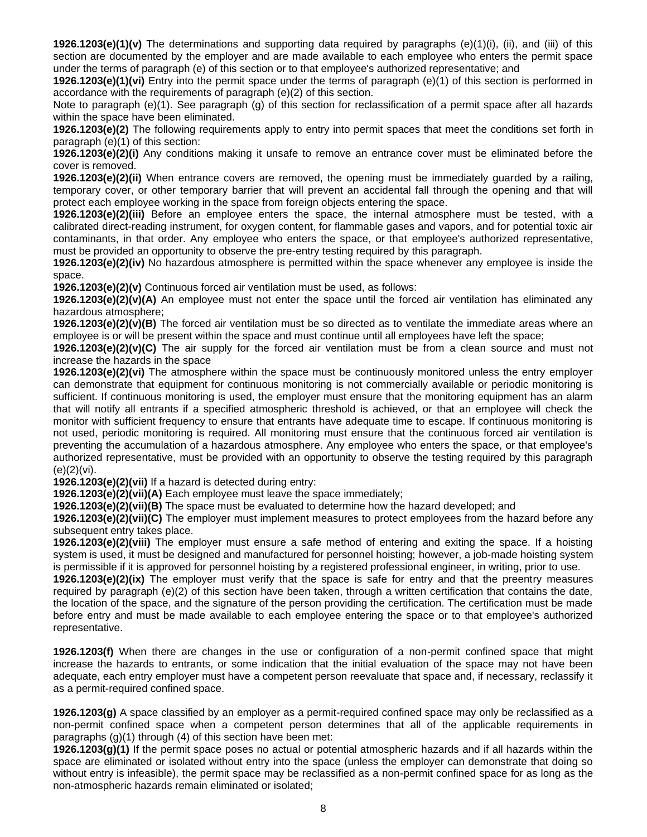**1926.1203(e)(1)(v)** The determinations and supporting data required by paragraphs (e)(1)(i), (ii), and (iii) of this section are documented by the employer and are made available to each employee who enters the permit space under the terms of paragraph (e) of this section or to that employee's authorized representative; and

**1926.1203(e)(1)(vi)** Entry into the permit space under the terms of paragraph (e)(1) of this section is performed in accordance with the requirements of paragraph (e)(2) of this section.

Note to paragraph (e)(1). See paragraph (g) of this section for reclassification of a permit space after all hazards within the space have been eliminated.

**1926.1203(e)(2)** The following requirements apply to entry into permit spaces that meet the conditions set forth in paragraph (e)(1) of this section:

**1926.1203(e)(2)(i)** Any conditions making it unsafe to remove an entrance cover must be eliminated before the cover is removed.

**1926.1203(e)(2)(ii)** When entrance covers are removed, the opening must be immediately guarded by a railing, temporary cover, or other temporary barrier that will prevent an accidental fall through the opening and that will protect each employee working in the space from foreign objects entering the space.

**1926.1203(e)(2)(iii)** Before an employee enters the space, the internal atmosphere must be tested, with a calibrated direct-reading instrument, for oxygen content, for flammable gases and vapors, and for potential toxic air contaminants, in that order. Any employee who enters the space, or that employee's authorized representative, must be provided an opportunity to observe the pre-entry testing required by this paragraph.

**1926.1203(e)(2)(iv)** No hazardous atmosphere is permitted within the space whenever any employee is inside the space.

**1926.1203(e)(2)(v)** Continuous forced air ventilation must be used, as follows:

**1926.1203(e)(2)(v)(A)** An employee must not enter the space until the forced air ventilation has eliminated any hazardous atmosphere;

**1926.1203(e)(2)(v)(B)** The forced air ventilation must be so directed as to ventilate the immediate areas where an employee is or will be present within the space and must continue until all employees have left the space;

**1926.1203(e)(2)(v)(C)** The air supply for the forced air ventilation must be from a clean source and must not increase the hazards in the space

**1926.1203(e)(2)(vi)** The atmosphere within the space must be continuously monitored unless the entry employer can demonstrate that equipment for continuous monitoring is not commercially available or periodic monitoring is sufficient. If continuous monitoring is used, the employer must ensure that the monitoring equipment has an alarm that will notify all entrants if a specified atmospheric threshold is achieved, or that an employee will check the monitor with sufficient frequency to ensure that entrants have adequate time to escape. If continuous monitoring is not used, periodic monitoring is required. All monitoring must ensure that the continuous forced air ventilation is preventing the accumulation of a hazardous atmosphere. Any employee who enters the space, or that employee's authorized representative, must be provided with an opportunity to observe the testing required by this paragraph (e)(2)(vi).

**1926.1203(e)(2)(vii)** If a hazard is detected during entry:

**1926.1203(e)(2)(vii)(A)** Each employee must leave the space immediately;

**1926.1203(e)(2)(vii)(B)** The space must be evaluated to determine how the hazard developed; and

**1926.1203(e)(2)(vii)(C)** The employer must implement measures to protect employees from the hazard before any subsequent entry takes place.

**1926.1203(e)(2)(viii)** The employer must ensure a safe method of entering and exiting the space. If a hoisting system is used, it must be designed and manufactured for personnel hoisting; however, a job-made hoisting system is permissible if it is approved for personnel hoisting by a registered professional engineer, in writing, prior to use.

**1926.1203(e)(2)(ix)** The employer must verify that the space is safe for entry and that the preentry measures required by paragraph (e)(2) of this section have been taken, through a written certification that contains the date, the location of the space, and the signature of the person providing the certification. The certification must be made before entry and must be made available to each employee entering the space or to that employee's authorized representative.

**1926.1203(f)** When there are changes in the use or configuration of a non-permit confined space that might increase the hazards to entrants, or some indication that the initial evaluation of the space may not have been adequate, each entry employer must have a competent person reevaluate that space and, if necessary, reclassify it as a permit-required confined space.

**1926.1203(g)** A space classified by an employer as a permit-required confined space may only be reclassified as a non-permit confined space when a competent person determines that all of the applicable requirements in paragraphs (g)(1) through (4) of this section have been met:

**1926.1203(g)(1)** If the permit space poses no actual or potential atmospheric hazards and if all hazards within the space are eliminated or isolated without entry into the space (unless the employer can demonstrate that doing so without entry is infeasible), the permit space may be reclassified as a non-permit confined space for as long as the non-atmospheric hazards remain eliminated or isolated;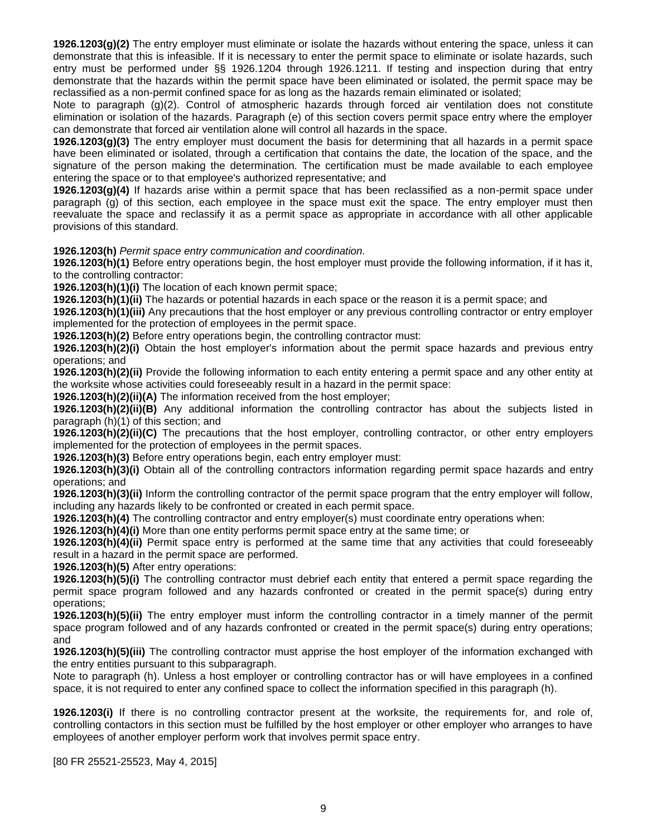**1926.1203(g)(2)** The entry employer must eliminate or isolate the hazards without entering the space, unless it can demonstrate that this is infeasible. If it is necessary to enter the permit space to eliminate or isolate hazards, such entry must be performed under §§ 1926.1204 through 1926.1211. If testing and inspection during that entry demonstrate that the hazards within the permit space have been eliminated or isolated, the permit space may be reclassified as a non-permit confined space for as long as the hazards remain eliminated or isolated;

Note to paragraph (g)(2). Control of atmospheric hazards through forced air ventilation does not constitute elimination or isolation of the hazards. Paragraph (e) of this section covers permit space entry where the employer can demonstrate that forced air ventilation alone will control all hazards in the space.

**1926.1203(g)(3)** The entry employer must document the basis for determining that all hazards in a permit space have been eliminated or isolated, through a certification that contains the date, the location of the space, and the signature of the person making the determination. The certification must be made available to each employee entering the space or to that employee's authorized representative; and

**1926.1203(g)(4)** If hazards arise within a permit space that has been reclassified as a non-permit space under paragraph (g) of this section, each employee in the space must exit the space. The entry employer must then reevaluate the space and reclassify it as a permit space as appropriate in accordance with all other applicable provisions of this standard.

**1926.1203(h)** *Permit space entry communication and coordination.* 

**1926.1203(h)(1)** Before entry operations begin, the host employer must provide the following information, if it has it, to the controlling contractor:

**1926.1203(h)(1)(i)** The location of each known permit space;

**1926.1203(h)(1)(ii)** The hazards or potential hazards in each space or the reason it is a permit space; and

**1926.1203(h)(1)(iii)** Any precautions that the host employer or any previous controlling contractor or entry employer implemented for the protection of employees in the permit space.

**1926.1203(h)(2)** Before entry operations begin, the controlling contractor must:

**1926.1203(h)(2)(i)** Obtain the host employer's information about the permit space hazards and previous entry operations; and

**1926.1203(h)(2)(ii)** Provide the following information to each entity entering a permit space and any other entity at the worksite whose activities could foreseeably result in a hazard in the permit space:

**1926.1203(h)(2)(ii)(A)** The information received from the host employer;

**1926.1203(h)(2)(ii)(B)** Any additional information the controlling contractor has about the subjects listed in paragraph (h)(1) of this section; and

**1926.1203(h)(2)(ii)(C)** The precautions that the host employer, controlling contractor, or other entry employers implemented for the protection of employees in the permit spaces.

**1926.1203(h)(3)** Before entry operations begin, each entry employer must:

**1926.1203(h)(3)(i)** Obtain all of the controlling contractors information regarding permit space hazards and entry operations; and

**1926.1203(h)(3)(ii)** Inform the controlling contractor of the permit space program that the entry employer will follow, including any hazards likely to be confronted or created in each permit space.

**1926.1203(h)(4)** The controlling contractor and entry employer(s) must coordinate entry operations when:

**1926.1203(h)(4)(i)** More than one entity performs permit space entry at the same time; or

**1926.1203(h)(4)(ii)** Permit space entry is performed at the same time that any activities that could foreseeably result in a hazard in the permit space are performed.

**1926.1203(h)(5)** After entry operations:

**1926.1203(h)(5)(i)** The controlling contractor must debrief each entity that entered a permit space regarding the permit space program followed and any hazards confronted or created in the permit space(s) during entry operations;

**1926.1203(h)(5)(ii)** The entry employer must inform the controlling contractor in a timely manner of the permit space program followed and of any hazards confronted or created in the permit space(s) during entry operations; and

**1926.1203(h)(5)(iii)** The controlling contractor must apprise the host employer of the information exchanged with the entry entities pursuant to this subparagraph.

Note to paragraph (h). Unless a host employer or controlling contractor has or will have employees in a confined space, it is not required to enter any confined space to collect the information specified in this paragraph (h).

**1926.1203(i)** If there is no controlling contractor present at the worksite, the requirements for, and role of, controlling contactors in this section must be fulfilled by the host employer or other employer who arranges to have employees of another employer perform work that involves permit space entry.

[80 FR 25521-25523, May 4, 2015]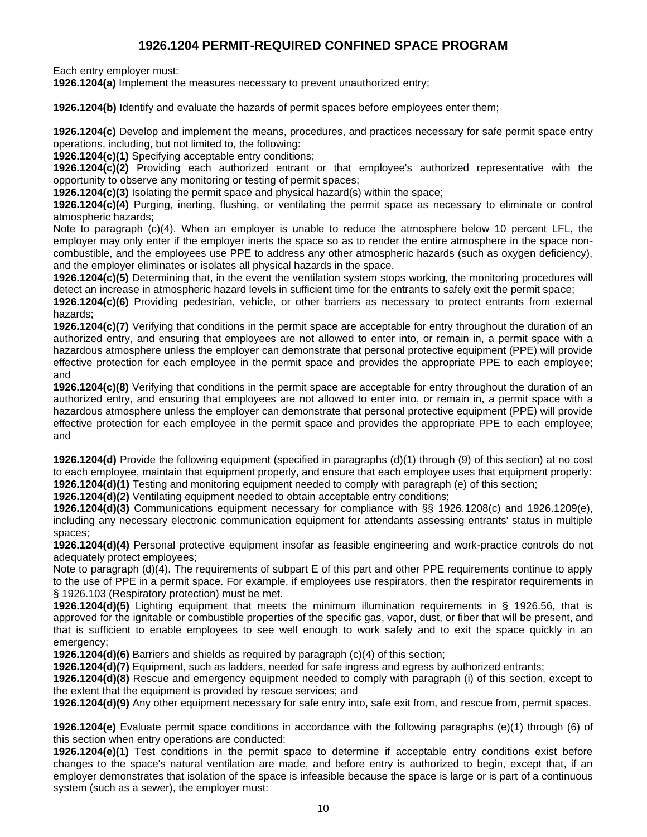## **1926.1204 PERMIT-REQUIRED CONFINED SPACE PROGRAM**

<span id="page-9-0"></span>Each entry employer must:

**1926.1204(a)** Implement the measures necessary to prevent unauthorized entry;

**1926.1204(b)** Identify and evaluate the hazards of permit spaces before employees enter them;

**1926.1204(c)** Develop and implement the means, procedures, and practices necessary for safe permit space entry operations, including, but not limited to, the following:

**1926.1204(c)(1)** Specifying acceptable entry conditions;

**1926.1204(c)(2)** Providing each authorized entrant or that employee's authorized representative with the opportunity to observe any monitoring or testing of permit spaces;

**1926.1204(c)(3)** Isolating the permit space and physical hazard(s) within the space;

**1926.1204(c)(4)** Purging, inerting, flushing, or ventilating the permit space as necessary to eliminate or control atmospheric hazards;

Note to paragraph (c)(4). When an employer is unable to reduce the atmosphere below 10 percent LFL, the employer may only enter if the employer inerts the space so as to render the entire atmosphere in the space noncombustible, and the employees use PPE to address any other atmospheric hazards (such as oxygen deficiency), and the employer eliminates or isolates all physical hazards in the space.

**1926.1204(c)(5)** Determining that, in the event the ventilation system stops working, the monitoring procedures will detect an increase in atmospheric hazard levels in sufficient time for the entrants to safely exit the permit space;

**1926.1204(c)(6)** Providing pedestrian, vehicle, or other barriers as necessary to protect entrants from external hazards;

**1926.1204(c)(7)** Verifying that conditions in the permit space are acceptable for entry throughout the duration of an authorized entry, and ensuring that employees are not allowed to enter into, or remain in, a permit space with a hazardous atmosphere unless the employer can demonstrate that personal protective equipment (PPE) will provide effective protection for each employee in the permit space and provides the appropriate PPE to each employee; and

**1926.1204(c)(8)** Verifying that conditions in the permit space are acceptable for entry throughout the duration of an authorized entry, and ensuring that employees are not allowed to enter into, or remain in, a permit space with a hazardous atmosphere unless the employer can demonstrate that personal protective equipment (PPE) will provide effective protection for each employee in the permit space and provides the appropriate PPE to each employee; and

**1926.1204(d)** Provide the following equipment (specified in paragraphs (d)(1) through (9) of this section) at no cost to each employee, maintain that equipment properly, and ensure that each employee uses that equipment properly: **1926.1204(d)(1)** Testing and monitoring equipment needed to comply with paragraph (e) of this section;

**1926.1204(d)(2)** Ventilating equipment needed to obtain acceptable entry conditions;

**1926.1204(d)(3)** Communications equipment necessary for compliance with §§ 1926.1208(c) and 1926.1209(e), including any necessary electronic communication equipment for attendants assessing entrants' status in multiple spaces;

**1926.1204(d)(4)** Personal protective equipment insofar as feasible engineering and work-practice controls do not adequately protect employees;

Note to paragraph (d)(4). The requirements of subpart E of this part and other PPE requirements continue to apply to the use of PPE in a permit space. For example, if employees use respirators, then the respirator requirements in § 1926.103 (Respiratory protection) must be met.

**1926.1204(d)(5)** Lighting equipment that meets the minimum illumination requirements in § 1926.56, that is approved for the ignitable or combustible properties of the specific gas, vapor, dust, or fiber that will be present, and that is sufficient to enable employees to see well enough to work safely and to exit the space quickly in an emergency:

**1926.1204(d)(6)** Barriers and shields as required by paragraph (c)(4) of this section;

**1926.1204(d)(7)** Equipment, such as ladders, needed for safe ingress and egress by authorized entrants;

**1926.1204(d)(8)** Rescue and emergency equipment needed to comply with paragraph (i) of this section, except to the extent that the equipment is provided by rescue services; and

**1926.1204(d)(9)** Any other equipment necessary for safe entry into, safe exit from, and rescue from, permit spaces.

**1926.1204(e)** Evaluate permit space conditions in accordance with the following paragraphs (e)(1) through (6) of this section when entry operations are conducted:

**1926.1204(e)(1)** Test conditions in the permit space to determine if acceptable entry conditions exist before changes to the space's natural ventilation are made, and before entry is authorized to begin, except that, if an employer demonstrates that isolation of the space is infeasible because the space is large or is part of a continuous system (such as a sewer), the employer must: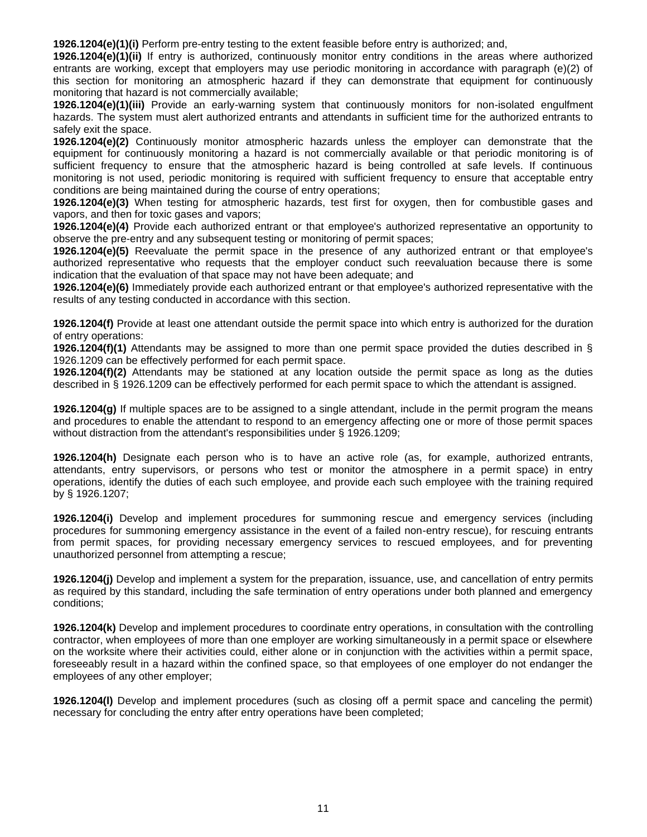**1926.1204(e)(1)(i)** Perform pre-entry testing to the extent feasible before entry is authorized; and,

**1926.1204(e)(1)(ii)** If entry is authorized, continuously monitor entry conditions in the areas where authorized entrants are working, except that employers may use periodic monitoring in accordance with paragraph (e)(2) of this section for monitoring an atmospheric hazard if they can demonstrate that equipment for continuously monitoring that hazard is not commercially available;

**1926.1204(e)(1)(iii)** Provide an early-warning system that continuously monitors for non-isolated engulfment hazards. The system must alert authorized entrants and attendants in sufficient time for the authorized entrants to safely exit the space.

**1926.1204(e)(2)** Continuously monitor atmospheric hazards unless the employer can demonstrate that the equipment for continuously monitoring a hazard is not commercially available or that periodic monitoring is of sufficient frequency to ensure that the atmospheric hazard is being controlled at safe levels. If continuous monitoring is not used, periodic monitoring is required with sufficient frequency to ensure that acceptable entry conditions are being maintained during the course of entry operations;

**1926.1204(e)(3)** When testing for atmospheric hazards, test first for oxygen, then for combustible gases and vapors, and then for toxic gases and vapors;

**1926.1204(e)(4)** Provide each authorized entrant or that employee's authorized representative an opportunity to observe the pre-entry and any subsequent testing or monitoring of permit spaces;

**1926.1204(e)(5)** Reevaluate the permit space in the presence of any authorized entrant or that employee's authorized representative who requests that the employer conduct such reevaluation because there is some indication that the evaluation of that space may not have been adequate; and

**1926.1204(e)(6)** Immediately provide each authorized entrant or that employee's authorized representative with the results of any testing conducted in accordance with this section.

**1926.1204(f)** Provide at least one attendant outside the permit space into which entry is authorized for the duration of entry operations:

**1926.1204(f)(1)** Attendants may be assigned to more than one permit space provided the duties described in § 1926.1209 can be effectively performed for each permit space.

**1926.1204(f)(2)** Attendants may be stationed at any location outside the permit space as long as the duties described in § 1926.1209 can be effectively performed for each permit space to which the attendant is assigned.

**1926.1204(g)** If multiple spaces are to be assigned to a single attendant, include in the permit program the means and procedures to enable the attendant to respond to an emergency affecting one or more of those permit spaces without distraction from the attendant's responsibilities under § 1926.1209;

**1926.1204(h)** Designate each person who is to have an active role (as, for example, authorized entrants, attendants, entry supervisors, or persons who test or monitor the atmosphere in a permit space) in entry operations, identify the duties of each such employee, and provide each such employee with the training required by § 1926.1207;

**1926.1204(i)** Develop and implement procedures for summoning rescue and emergency services (including procedures for summoning emergency assistance in the event of a failed non-entry rescue), for rescuing entrants from permit spaces, for providing necessary emergency services to rescued employees, and for preventing unauthorized personnel from attempting a rescue;

**1926.1204(j)** Develop and implement a system for the preparation, issuance, use, and cancellation of entry permits as required by this standard, including the safe termination of entry operations under both planned and emergency conditions;

**1926.1204(k)** Develop and implement procedures to coordinate entry operations, in consultation with the controlling contractor, when employees of more than one employer are working simultaneously in a permit space or elsewhere on the worksite where their activities could, either alone or in conjunction with the activities within a permit space, foreseeably result in a hazard within the confined space, so that employees of one employer do not endanger the employees of any other employer;

**1926.1204(l)** Develop and implement procedures (such as closing off a permit space and canceling the permit) necessary for concluding the entry after entry operations have been completed;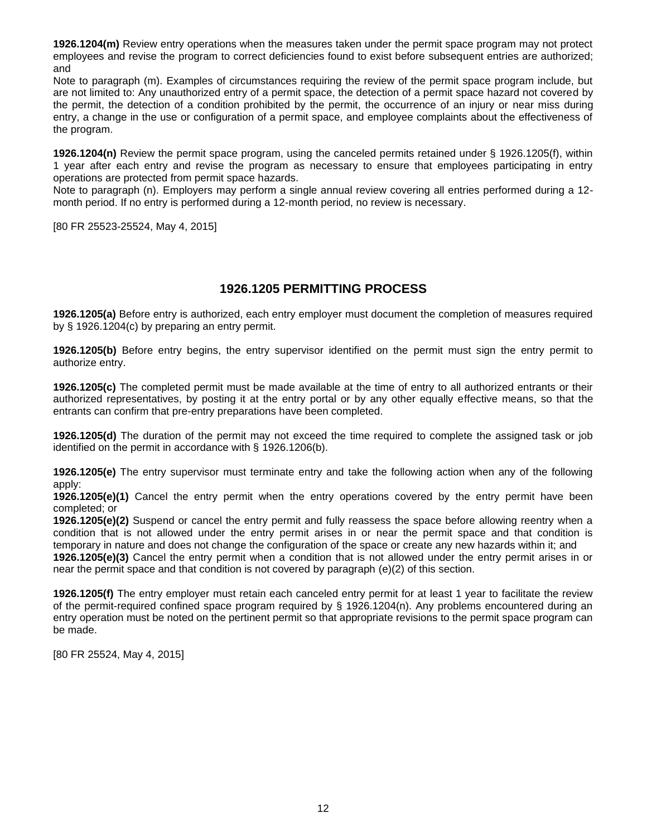**1926.1204(m)** Review entry operations when the measures taken under the permit space program may not protect employees and revise the program to correct deficiencies found to exist before subsequent entries are authorized; and

Note to paragraph (m). Examples of circumstances requiring the review of the permit space program include, but are not limited to: Any unauthorized entry of a permit space, the detection of a permit space hazard not covered by the permit, the detection of a condition prohibited by the permit, the occurrence of an injury or near miss during entry, a change in the use or configuration of a permit space, and employee complaints about the effectiveness of the program.

**1926.1204(n)** Review the permit space program, using the canceled permits retained under § 1926.1205(f), within 1 year after each entry and revise the program as necessary to ensure that employees participating in entry operations are protected from permit space hazards.

Note to paragraph (n). Employers may perform a single annual review covering all entries performed during a 12 month period. If no entry is performed during a 12-month period, no review is necessary.

[80 FR 25523-25524, May 4, 2015]

### **1926.1205 PERMITTING PROCESS**

<span id="page-11-0"></span>**1926.1205(a)** Before entry is authorized, each entry employer must document the completion of measures required by § 1926.1204(c) by preparing an entry permit.

**1926.1205(b)** Before entry begins, the entry supervisor identified on the permit must sign the entry permit to authorize entry.

**1926.1205(c)** The completed permit must be made available at the time of entry to all authorized entrants or their authorized representatives, by posting it at the entry portal or by any other equally effective means, so that the entrants can confirm that pre-entry preparations have been completed.

**1926.1205(d)** The duration of the permit may not exceed the time required to complete the assigned task or job identified on the permit in accordance with § 1926.1206(b).

**1926.1205(e)** The entry supervisor must terminate entry and take the following action when any of the following apply:

**1926.1205(e)(1)** Cancel the entry permit when the entry operations covered by the entry permit have been completed; or

**1926.1205(e)(2)** Suspend or cancel the entry permit and fully reassess the space before allowing reentry when a condition that is not allowed under the entry permit arises in or near the permit space and that condition is temporary in nature and does not change the configuration of the space or create any new hazards within it; and **1926.1205(e)(3)** Cancel the entry permit when a condition that is not allowed under the entry permit arises in or near the permit space and that condition is not covered by paragraph (e)(2) of this section.

**1926.1205(f)** The entry employer must retain each canceled entry permit for at least 1 year to facilitate the review of the permit-required confined space program required by § 1926.1204(n). Any problems encountered during an entry operation must be noted on the pertinent permit so that appropriate revisions to the permit space program can be made.

<span id="page-11-1"></span>[80 FR 25524, May 4, 2015]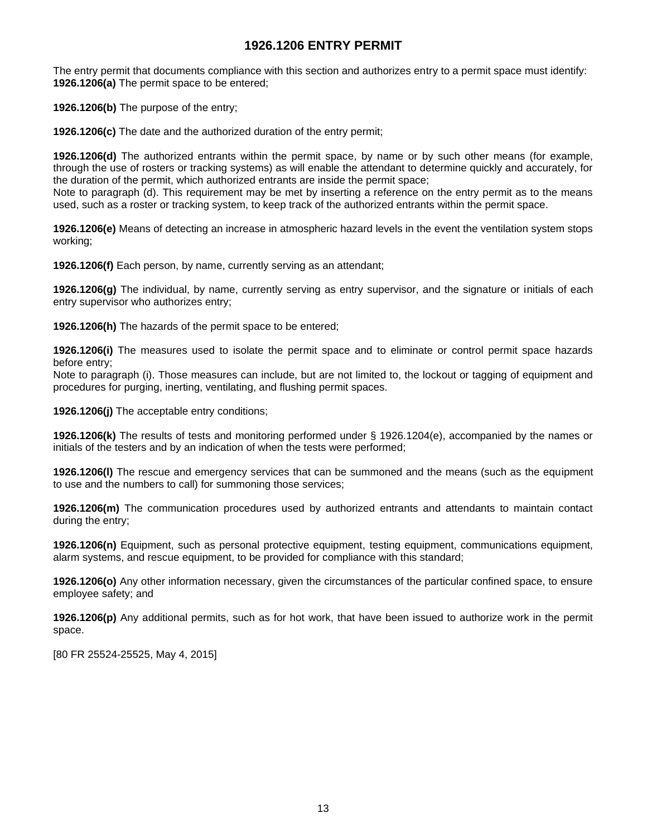### **1926.1206 ENTRY PERMIT**

The entry permit that documents compliance with this section and authorizes entry to a permit space must identify: **1926.1206(a)** The permit space to be entered;

**1926.1206(b)** The purpose of the entry;

**1926.1206(c)** The date and the authorized duration of the entry permit;

**1926.1206(d)** The authorized entrants within the permit space, by name or by such other means (for example, through the use of rosters or tracking systems) as will enable the attendant to determine quickly and accurately, for the duration of the permit, which authorized entrants are inside the permit space;

Note to paragraph (d). This requirement may be met by inserting a reference on the entry permit as to the means used, such as a roster or tracking system, to keep track of the authorized entrants within the permit space.

**1926.1206(e)** Means of detecting an increase in atmospheric hazard levels in the event the ventilation system stops working;

**1926.1206(f)** Each person, by name, currently serving as an attendant;

**1926.1206(g)** The individual, by name, currently serving as entry supervisor, and the signature or initials of each entry supervisor who authorizes entry;

**1926.1206(h)** The hazards of the permit space to be entered;

**1926.1206(i)** The measures used to isolate the permit space and to eliminate or control permit space hazards before entry;

Note to paragraph (i). Those measures can include, but are not limited to, the lockout or tagging of equipment and procedures for purging, inerting, ventilating, and flushing permit spaces.

**1926.1206(j)** The acceptable entry conditions;

**1926.1206(k)** The results of tests and monitoring performed under § 1926.1204(e), accompanied by the names or initials of the testers and by an indication of when the tests were performed;

**1926.1206(l)** The rescue and emergency services that can be summoned and the means (such as the equipment to use and the numbers to call) for summoning those services;

**1926.1206(m)** The communication procedures used by authorized entrants and attendants to maintain contact during the entry;

**1926.1206(n)** Equipment, such as personal protective equipment, testing equipment, communications equipment, alarm systems, and rescue equipment, to be provided for compliance with this standard;

**1926.1206(o)** Any other information necessary, given the circumstances of the particular confined space, to ensure employee safety; and

**1926.1206(p)** Any additional permits, such as for hot work, that have been issued to authorize work in the permit space.

<span id="page-12-0"></span>[80 FR 25524-25525, May 4, 2015]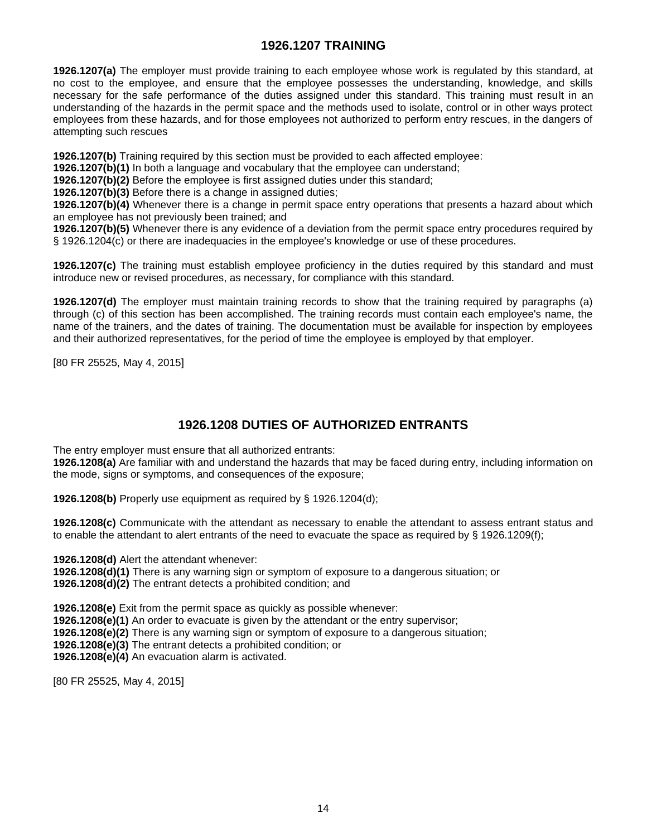### **1926.1207 TRAINING**

**1926.1207(a)** The employer must provide training to each employee whose work is regulated by this standard, at no cost to the employee, and ensure that the employee possesses the understanding, knowledge, and skills necessary for the safe performance of the duties assigned under this standard. This training must result in an understanding of the hazards in the permit space and the methods used to isolate, control or in other ways protect employees from these hazards, and for those employees not authorized to perform entry rescues, in the dangers of attempting such rescues

**1926.1207(b)** Training required by this section must be provided to each affected employee:

**1926.1207(b)(1)** In both a language and vocabulary that the employee can understand;

**1926.1207(b)(2)** Before the employee is first assigned duties under this standard;

**1926.1207(b)(3)** Before there is a change in assigned duties;

**1926.1207(b)(4)** Whenever there is a change in permit space entry operations that presents a hazard about which an employee has not previously been trained; and

**1926.1207(b)(5)** Whenever there is any evidence of a deviation from the permit space entry procedures required by § 1926.1204(c) or there are inadequacies in the employee's knowledge or use of these procedures.

**1926.1207(c)** The training must establish employee proficiency in the duties required by this standard and must introduce new or revised procedures, as necessary, for compliance with this standard.

**1926.1207(d)** The employer must maintain training records to show that the training required by paragraphs (a) through (c) of this section has been accomplished. The training records must contain each employee's name, the name of the trainers, and the dates of training. The documentation must be available for inspection by employees and their authorized representatives, for the period of time the employee is employed by that employer.

[80 FR 25525, May 4, 2015]

### **1926.1208 DUTIES OF AUTHORIZED ENTRANTS**

<span id="page-13-0"></span>The entry employer must ensure that all authorized entrants:

**1926.1208(a)** Are familiar with and understand the hazards that may be faced during entry, including information on the mode, signs or symptoms, and consequences of the exposure;

**1926.1208(b)** Properly use equipment as required by § 1926.1204(d);

**1926.1208(c)** Communicate with the attendant as necessary to enable the attendant to assess entrant status and to enable the attendant to alert entrants of the need to evacuate the space as required by § 1926.1209(f);

**1926.1208(d)** Alert the attendant whenever:

**1926.1208(d)(1)** There is any warning sign or symptom of exposure to a dangerous situation; or **1926.1208(d)(2)** The entrant detects a prohibited condition; and

**1926.1208(e)** Exit from the permit space as quickly as possible whenever:

**1926.1208(e)(1)** An order to evacuate is given by the attendant or the entry supervisor;

**1926.1208(e)(2)** There is any warning sign or symptom of exposure to a dangerous situation;

**1926.1208(e)(3)** The entrant detects a prohibited condition; or

**1926.1208(e)(4)** An evacuation alarm is activated.

<span id="page-13-1"></span>[80 FR 25525, May 4, 2015]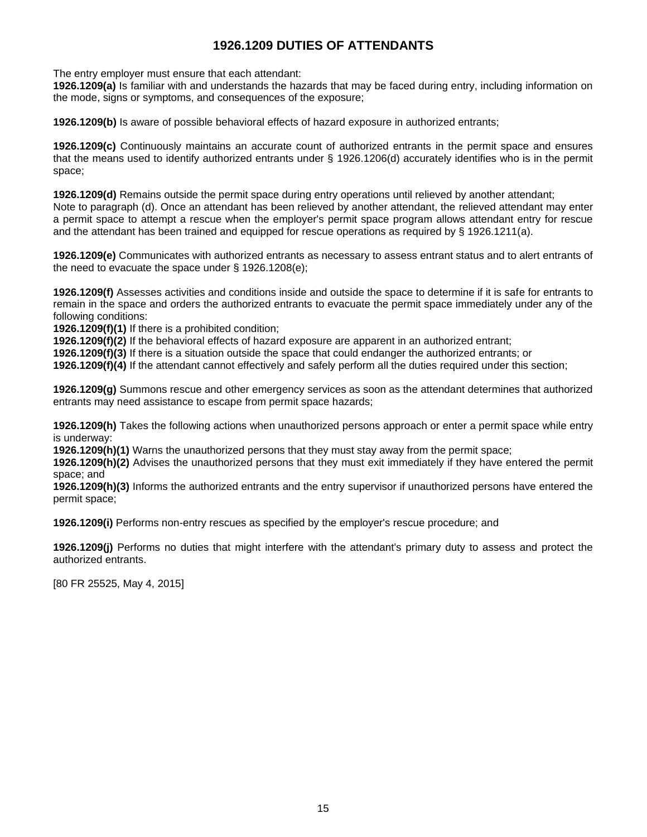# **1926.1209 DUTIES OF ATTENDANTS**

The entry employer must ensure that each attendant:

**1926.1209(a)** Is familiar with and understands the hazards that may be faced during entry, including information on the mode, signs or symptoms, and consequences of the exposure;

**1926.1209(b)** Is aware of possible behavioral effects of hazard exposure in authorized entrants;

**1926.1209(c)** Continuously maintains an accurate count of authorized entrants in the permit space and ensures that the means used to identify authorized entrants under § 1926.1206(d) accurately identifies who is in the permit space;

**1926.1209(d)** Remains outside the permit space during entry operations until relieved by another attendant; Note to paragraph (d). Once an attendant has been relieved by another attendant, the relieved attendant may enter a permit space to attempt a rescue when the employer's permit space program allows attendant entry for rescue and the attendant has been trained and equipped for rescue operations as required by § 1926.1211(a).

**1926.1209(e)** Communicates with authorized entrants as necessary to assess entrant status and to alert entrants of the need to evacuate the space under § 1926.1208(e);

**1926.1209(f)** Assesses activities and conditions inside and outside the space to determine if it is safe for entrants to remain in the space and orders the authorized entrants to evacuate the permit space immediately under any of the following conditions:

**1926.1209(f)(1)** If there is a prohibited condition;

**1926.1209(f)(2)** If the behavioral effects of hazard exposure are apparent in an authorized entrant;

**1926.1209(f)(3)** If there is a situation outside the space that could endanger the authorized entrants; or

**1926.1209(f)(4)** If the attendant cannot effectively and safely perform all the duties required under this section;

**1926.1209(g)** Summons rescue and other emergency services as soon as the attendant determines that authorized entrants may need assistance to escape from permit space hazards;

**1926.1209(h)** Takes the following actions when unauthorized persons approach or enter a permit space while entry is underway:

**1926.1209(h)(1)** Warns the unauthorized persons that they must stay away from the permit space;

**1926.1209(h)(2)** Advises the unauthorized persons that they must exit immediately if they have entered the permit space; and

**1926.1209(h)(3)** Informs the authorized entrants and the entry supervisor if unauthorized persons have entered the permit space;

**1926.1209(i)** Performs non-entry rescues as specified by the employer's rescue procedure; and

**1926.1209(j)** Performs no duties that might interfere with the attendant's primary duty to assess and protect the authorized entrants.

[80 FR 25525, May 4, 2015]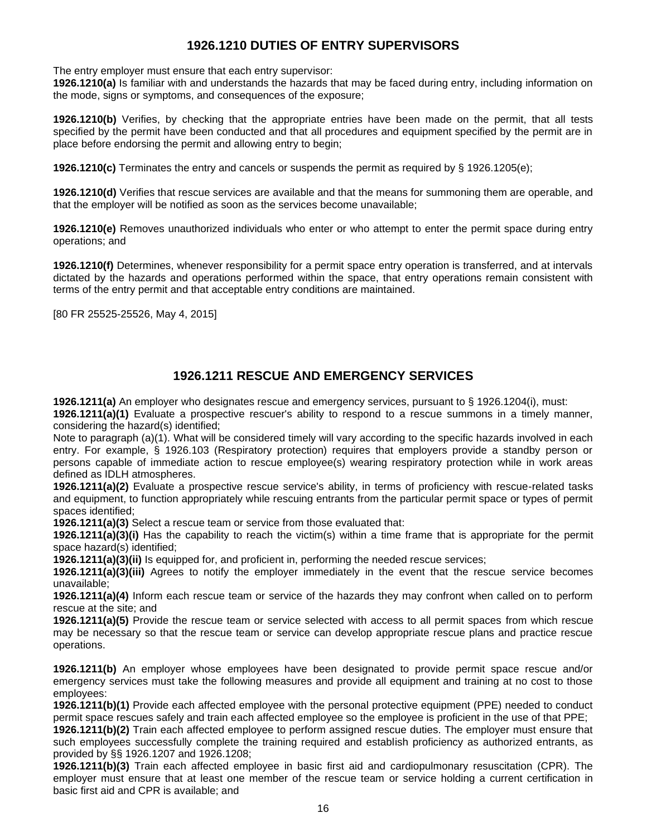# **1926.1210 DUTIES OF ENTRY SUPERVISORS**

<span id="page-15-0"></span>The entry employer must ensure that each entry supervisor:

**1926.1210(a)** Is familiar with and understands the hazards that may be faced during entry, including information on the mode, signs or symptoms, and consequences of the exposure;

**1926.1210(b)** Verifies, by checking that the appropriate entries have been made on the permit, that all tests specified by the permit have been conducted and that all procedures and equipment specified by the permit are in place before endorsing the permit and allowing entry to begin;

**1926.1210(c)** Terminates the entry and cancels or suspends the permit as required by § 1926.1205(e);

**1926.1210(d)** Verifies that rescue services are available and that the means for summoning them are operable, and that the employer will be notified as soon as the services become unavailable;

**1926.1210(e)** Removes unauthorized individuals who enter or who attempt to enter the permit space during entry operations; and

**1926.1210(f)** Determines, whenever responsibility for a permit space entry operation is transferred, and at intervals dictated by the hazards and operations performed within the space, that entry operations remain consistent with terms of the entry permit and that acceptable entry conditions are maintained.

[80 FR 25525-25526, May 4, 2015]

## **1926.1211 RESCUE AND EMERGENCY SERVICES**

<span id="page-15-1"></span>**1926.1211(a)** An employer who designates rescue and emergency services, pursuant to § 1926.1204(i), must:

**1926.1211(a)(1)** Evaluate a prospective rescuer's ability to respond to a rescue summons in a timely manner, considering the hazard(s) identified;

Note to paragraph (a)(1). What will be considered timely will vary according to the specific hazards involved in each entry. For example, § 1926.103 (Respiratory protection) requires that employers provide a standby person or persons capable of immediate action to rescue employee(s) wearing respiratory protection while in work areas defined as IDLH atmospheres.

**1926.1211(a)(2)** Evaluate a prospective rescue service's ability, in terms of proficiency with rescue-related tasks and equipment, to function appropriately while rescuing entrants from the particular permit space or types of permit spaces identified;

**1926.1211(a)(3)** Select a rescue team or service from those evaluated that:

**1926.1211(a)(3)(i)** Has the capability to reach the victim(s) within a time frame that is appropriate for the permit space hazard(s) identified;

**1926.1211(a)(3)(ii)** Is equipped for, and proficient in, performing the needed rescue services;

**1926.1211(a)(3)(iii)** Agrees to notify the employer immediately in the event that the rescue service becomes unavailable;

**1926.1211(a)(4)** Inform each rescue team or service of the hazards they may confront when called on to perform rescue at the site; and

**1926.1211(a)(5)** Provide the rescue team or service selected with access to all permit spaces from which rescue may be necessary so that the rescue team or service can develop appropriate rescue plans and practice rescue operations.

**1926.1211(b)** An employer whose employees have been designated to provide permit space rescue and/or emergency services must take the following measures and provide all equipment and training at no cost to those employees:

**1926.1211(b)(1)** Provide each affected employee with the personal protective equipment (PPE) needed to conduct permit space rescues safely and train each affected employee so the employee is proficient in the use of that PPE;

**1926.1211(b)(2)** Train each affected employee to perform assigned rescue duties. The employer must ensure that such employees successfully complete the training required and establish proficiency as authorized entrants, as provided by §§ 1926.1207 and 1926.1208;

**1926.1211(b)(3)** Train each affected employee in basic first aid and cardiopulmonary resuscitation (CPR). The employer must ensure that at least one member of the rescue team or service holding a current certification in basic first aid and CPR is available; and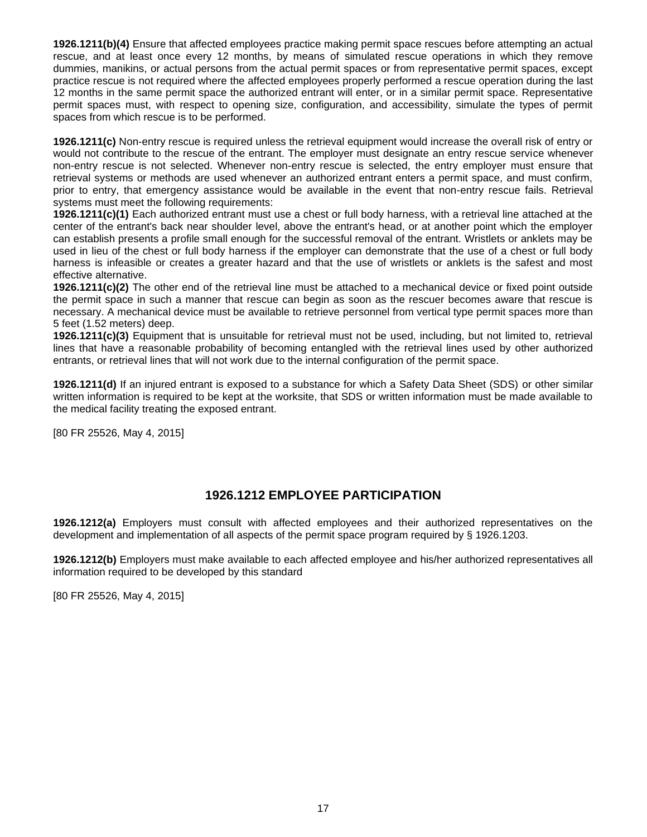**1926.1211(b)(4)** Ensure that affected employees practice making permit space rescues before attempting an actual rescue, and at least once every 12 months, by means of simulated rescue operations in which they remove dummies, manikins, or actual persons from the actual permit spaces or from representative permit spaces, except practice rescue is not required where the affected employees properly performed a rescue operation during the last 12 months in the same permit space the authorized entrant will enter, or in a similar permit space. Representative permit spaces must, with respect to opening size, configuration, and accessibility, simulate the types of permit spaces from which rescue is to be performed.

**1926.1211(c)** Non-entry rescue is required unless the retrieval equipment would increase the overall risk of entry or would not contribute to the rescue of the entrant. The employer must designate an entry rescue service whenever non-entry rescue is not selected. Whenever non-entry rescue is selected, the entry employer must ensure that retrieval systems or methods are used whenever an authorized entrant enters a permit space, and must confirm, prior to entry, that emergency assistance would be available in the event that non-entry rescue fails. Retrieval systems must meet the following requirements:

**1926.1211(c)(1)** Each authorized entrant must use a chest or full body harness, with a retrieval line attached at the center of the entrant's back near shoulder level, above the entrant's head, or at another point which the employer can establish presents a profile small enough for the successful removal of the entrant. Wristlets or anklets may be used in lieu of the chest or full body harness if the employer can demonstrate that the use of a chest or full body harness is infeasible or creates a greater hazard and that the use of wristlets or anklets is the safest and most effective alternative.

**1926.1211(c)(2)** The other end of the retrieval line must be attached to a mechanical device or fixed point outside the permit space in such a manner that rescue can begin as soon as the rescuer becomes aware that rescue is necessary. A mechanical device must be available to retrieve personnel from vertical type permit spaces more than 5 feet (1.52 meters) deep.

**1926.1211(c)(3)** Equipment that is unsuitable for retrieval must not be used, including, but not limited to, retrieval lines that have a reasonable probability of becoming entangled with the retrieval lines used by other authorized entrants, or retrieval lines that will not work due to the internal configuration of the permit space.

**1926.1211(d)** If an injured entrant is exposed to a substance for which a Safety Data Sheet (SDS) or other similar written information is required to be kept at the worksite, that SDS or written information must be made available to the medical facility treating the exposed entrant.

[80 FR 25526, May 4, 2015]

### **1926.1212 EMPLOYEE PARTICIPATION**

<span id="page-16-0"></span>**1926.1212(a)** Employers must consult with affected employees and their authorized representatives on the development and implementation of all aspects of the permit space program required by § 1926.1203.

**1926.1212(b)** Employers must make available to each affected employee and his/her authorized representatives all information required to be developed by this standard

[80 FR 25526, May 4, 2015]